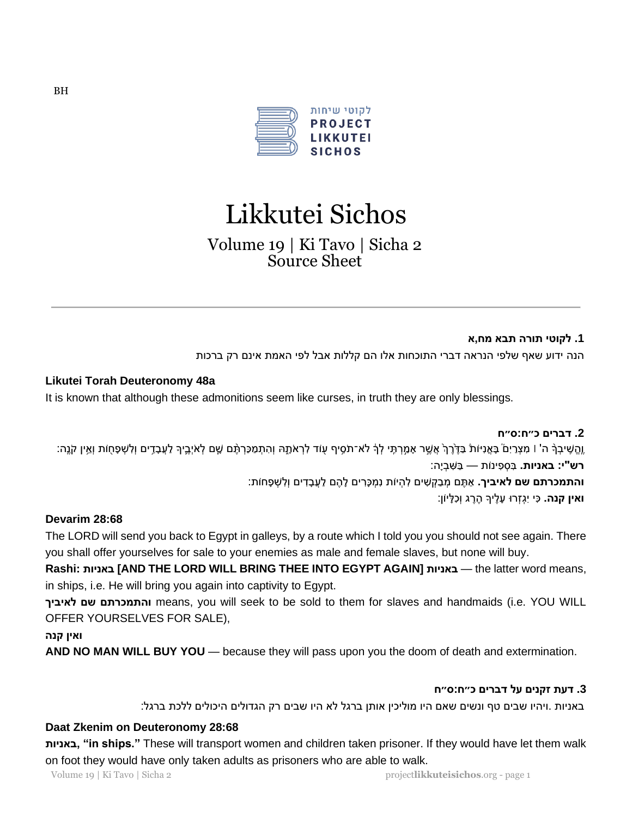

# Likkutei Sichos

Volume 19 | Ki Tavo | Sicha 2 Source Sheet

#### **.1 לקוטי תורה תבא מח,א**

הנה ידוע שאף שלפי הנראה דברי התוכחות אלו הם קללות אבל לפי האמת אינם רק ברכות

#### **Likutei Torah Deuteronomy 48a**

It is known that although these admonitions seem like curses, in truth they are only blessings.

**.2 דברים כ״ח:ס״ח**  ֶוֶהֱשִׁיבְךָּ ה' ו מִצְרַיִם בָּאֱנִיּוֹת בַּדֵּרֵךְ אֲשֵׁר אָמֵרִתָּי לְךָ לֹא־תֹסֵיף עְוֹד לְרָאֹתָהּ וְהִתְמַכַּרְתֵּם שֶׁם לְאֹיִבֵיךְ לַעֲבָדֵים וְלִשְׁפָחָוֹת וְאֵין קֹנֵה: **רש"י: באניות.** ב סְ פ ינֹות — בַ ש בְ יָּה: **והתמכרתם שם לאיביך.** אַ ת ם מְ בַ קְ ש ים ל הְ יֹות נ מְ כָּר ים לָּה ם לַעֲבָּ ד ים וְל שְ פָּ חֹות: **ואין קנה.** כִּי יִגְזְרוּ עָלֶיךָ הֶרֶג וְכִלְּיוֹן:

## **Devarim 28:68**

The LORD will send you back to Egypt in galleys, by a route which I told you you should not see again. There you shall offer yourselves for sale to your enemies as male and female slaves, but none will buy.

**Rashi: באניות] AND THE LORD WILL BRING THEE INTO EGYPT AGAIN] באניות** — the latter word means, in ships, i.e. He will bring you again into captivity to Egypt.

 **לאיביך שם והתמכרתם** means, you will seek to be sold to them for slaves and handmaids (i.e. YOU WILL OFFER YOURSELVES FOR SALE),

**ואין קנה** 

**AND NO MAN WILL BUY YOU** — because they will pass upon you the doom of death and extermination.

#### **.3 דעת זקנים על דברים כ״ח :ס״ח**

באניות .ויהיו שבים טף ונשים שאם היו מוליכין אותן ברגל לא היו שבים רק הגדולים היכולים ללכת ברגל:

#### **Daat Zkenim on Deuteronomy 28:68**

**באניות," in ships."** These will transport women and children taken prisoner. If they would have let them walk on foot they would have only taken adults as prisoners who are able to walk.